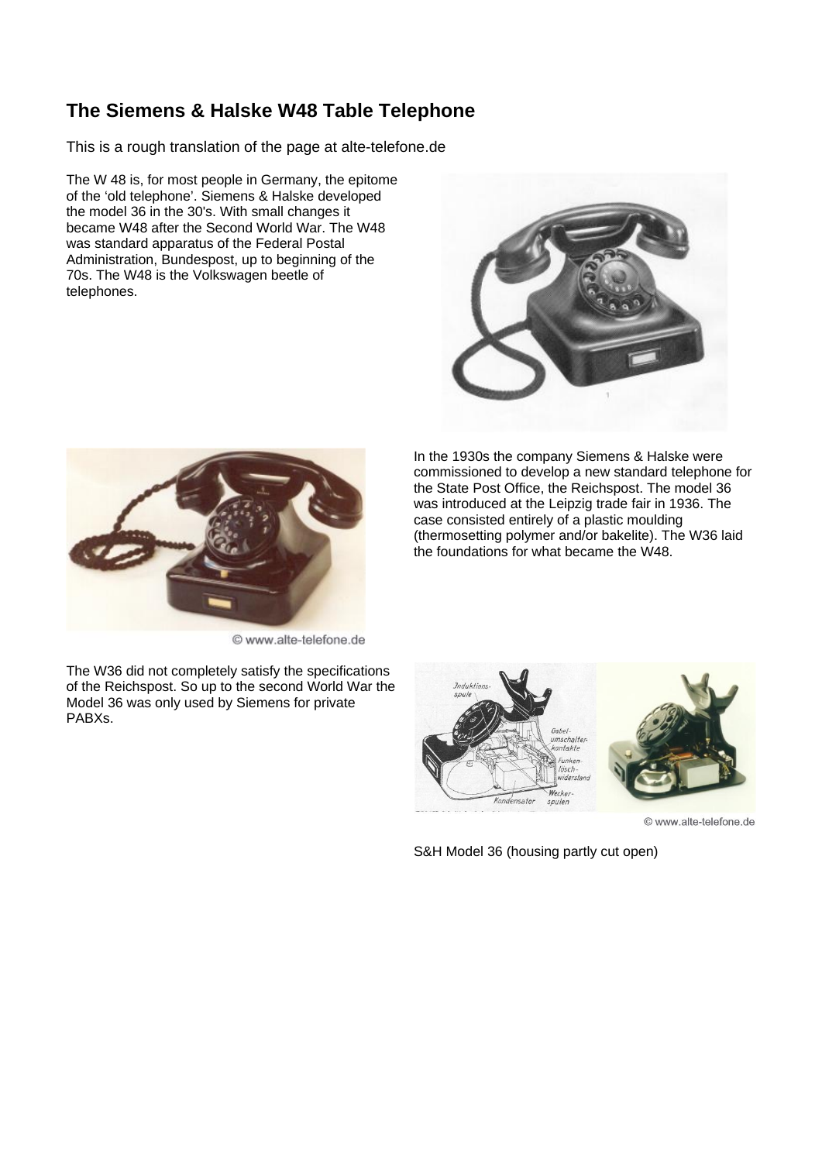## **The Siemens & Halske W48 Table Telephone**

This is a rough translation of the page at alte-telefone.de

The W 48 is, for most people in Germany, the epitome of the 'old telephone'. Siemens & Halske developed the model 36 in the 30's. With small changes it became W48 after the Second World War. The W48 was standard apparatus of the Federal Postal Administration, Bundespost, up to beginning of the 70s. The W48 is the Volkswagen beetle of telephones.





© www.alte-telefone.de

The W36 did not completely satisfy the specifications of the Reichspost. So up to the second World War the Model 36 was only used by Siemens for private PABXs.

In the 1930s the company Siemens & Halske were commissioned to develop a new standard telephone for the State Post Office, the Reichspost. The model 36 was introduced at the Leipzig trade fair in 1936. The case consisted entirely of a plastic moulding (thermosetting polymer and/or bakelite). The W36 laid the foundations for what became the W48.



© www.alte-telefone.de

S&H Model 36 (housing partly cut open)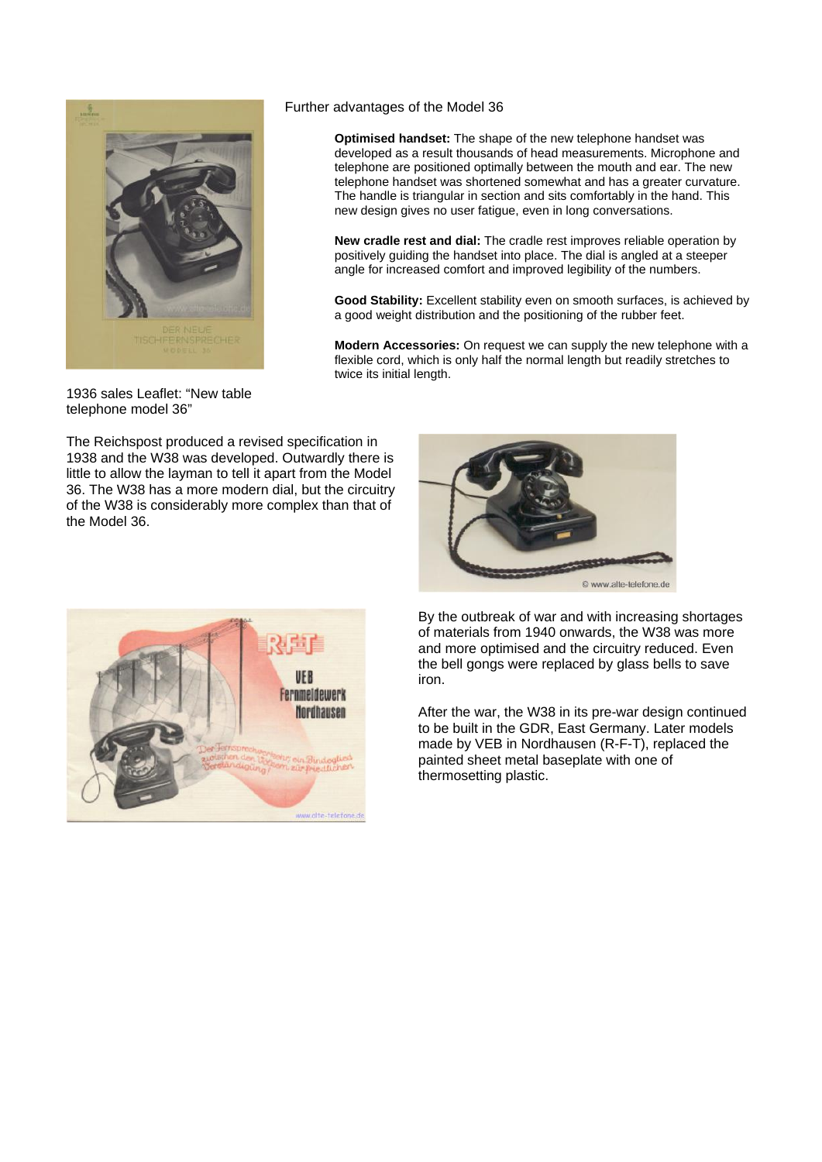

## Further advantages of the Model 36

**Optimised handset:** The shape of the new telephone handset was developed as a result thousands of head measurements. Microphone and telephone are positioned optimally between the mouth and ear. The new telephone handset was shortened somewhat and has a greater curvature. The handle is triangular in section and sits comfortably in the hand. This new design gives no user fatigue, even in long conversations.

**New cradle rest and dial:** The cradle rest improves reliable operation by positively guiding the handset into place. The dial is angled at a steeper angle for increased comfort and improved legibility of the numbers.

**Good Stability:** Excellent stability even on smooth surfaces, is achieved by a good weight distribution and the positioning of the rubber feet.

**Modern Accessories:** On request we can supply the new telephone with a flexible cord, which is only half the normal length but readily stretches to twice its initial length.

1936 sales Leaflet: "New table telephone model 36"

The Reichspost produced a revised specification in 1938 and the W38 was developed. Outwardly there is little to allow the layman to tell it apart from the Model 36. The W38 has a more modern dial, but the circuitry of the W38 is considerably more complex than that of the Model 36.





By the outbreak of war and with increasing shortages of materials from 1940 onwards, the W38 was more and more optimised and the circuitry reduced. Even the bell gongs were replaced by glass bells to save iron.

After the war, the W38 in its pre-war design continued to be built in the GDR, East Germany. Later models made by VEB in Nordhausen (R-F-T), replaced the painted sheet metal baseplate with one of thermosetting plastic.